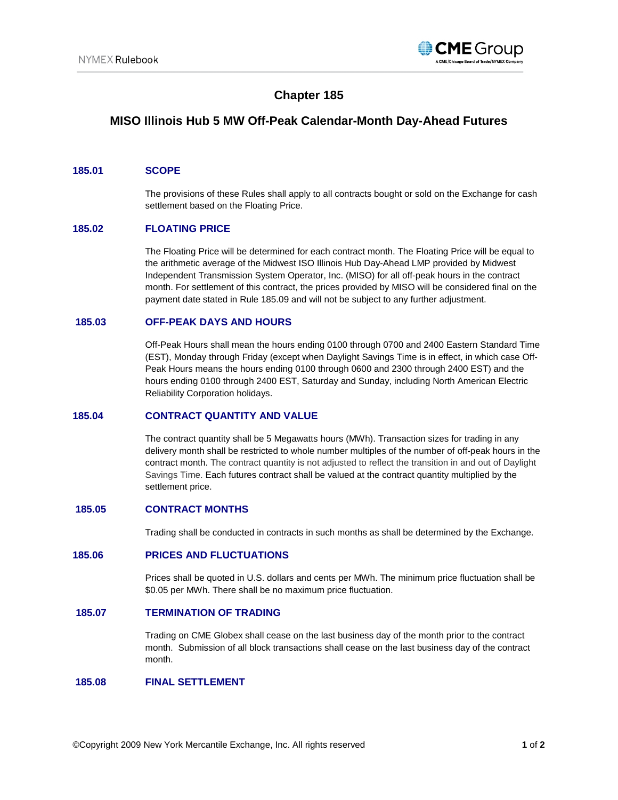

# **Chapter 185**

# **MISO Illinois Hub 5 MW Off-Peak Calendar-Month Day-Ahead Futures**

### **185.01 SCOPE**

The provisions of these Rules shall apply to all contracts bought or sold on the Exchange for cash settlement based on the Floating Price.

# **185.02 FLOATING PRICE**

The Floating Price will be determined for each contract month. The Floating Price will be equal to the arithmetic average of the Midwest ISO Illinois Hub Day-Ahead LMP provided by Midwest Independent Transmission System Operator, Inc. (MISO) for all off-peak hours in the contract month. For settlement of this contract, the prices provided by MISO will be considered final on the payment date stated in Rule 185.09 and will not be subject to any further adjustment.

## **185.03 OFF-PEAK DAYS AND HOURS**

Off-Peak Hours shall mean the hours ending 0100 through 0700 and 2400 Eastern Standard Time (EST), Monday through Friday (except when Daylight Savings Time is in effect, in which case Off-Peak Hours means the hours ending 0100 through 0600 and 2300 through 2400 EST) and the hours ending 0100 through 2400 EST, Saturday and Sunday, including North American Electric Reliability Corporation holidays.

### **185.04 CONTRACT QUANTITY AND VALUE**

The contract quantity shall be 5 Megawatts hours (MWh). Transaction sizes for trading in any delivery month shall be restricted to whole number multiples of the number of off-peak hours in the contract month. The contract quantity is not adjusted to reflect the transition in and out of Daylight Savings Time. Each futures contract shall be valued at the contract quantity multiplied by the settlement price.

## **185.05 CONTRACT MONTHS**

Trading shall be conducted in contracts in such months as shall be determined by the Exchange.

### **185.06 PRICES AND FLUCTUATIONS**

Prices shall be quoted in U.S. dollars and cents per MWh. The minimum price fluctuation shall be \$0.05 per MWh. There shall be no maximum price fluctuation.

## **185.07 TERMINATION OF TRADING**

Trading on CME Globex shall cease on the last business day of the month prior to the contract month. Submission of all block transactions shall cease on the last business day of the contract month.

### **185.08 FINAL SETTLEMENT**